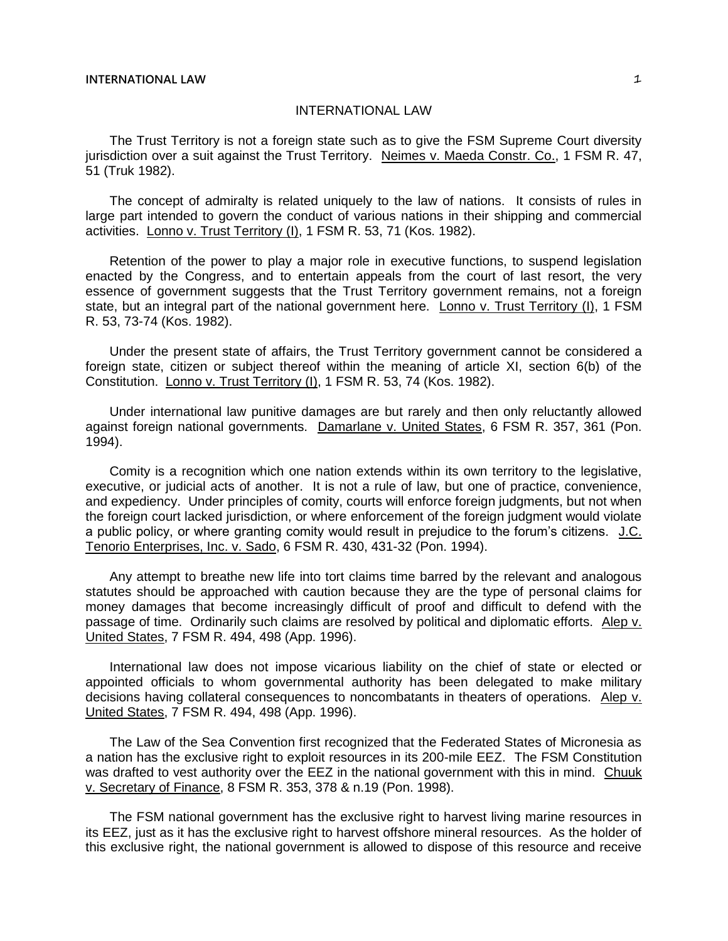The Trust Territory is not a foreign state such as to give the FSM Supreme Court diversity jurisdiction over a suit against the Trust Territory. Neimes v. Maeda Constr. Co., 1 FSM R. 47, 51 (Truk 1982).

The concept of admiralty is related uniquely to the law of nations. It consists of rules in large part intended to govern the conduct of various nations in their shipping and commercial activities. Lonno v. Trust Territory (I), 1 FSM R. 53, 71 (Kos. 1982).

Retention of the power to play a major role in executive functions, to suspend legislation enacted by the Congress, and to entertain appeals from the court of last resort, the very essence of government suggests that the Trust Territory government remains, not a foreign state, but an integral part of the national government here. Lonno v. Trust Territory (I), 1 FSM R. 53, 73-74 (Kos. 1982).

Under the present state of affairs, the Trust Territory government cannot be considered a foreign state, citizen or subject thereof within the meaning of article XI, section 6(b) of the Constitution. Lonno v. Trust Territory (I), 1 FSM R. 53, 74 (Kos. 1982).

Under international law punitive damages are but rarely and then only reluctantly allowed against foreign national governments. Damarlane v. United States, 6 FSM R. 357, 361 (Pon. 1994).

Comity is a recognition which one nation extends within its own territory to the legislative, executive, or judicial acts of another. It is not a rule of law, but one of practice, convenience, and expediency. Under principles of comity, courts will enforce foreign judgments, but not when the foreign court lacked jurisdiction, or where enforcement of the foreign judgment would violate a public policy, or where granting comity would result in prejudice to the forum's citizens. J.C. Tenorio Enterprises, Inc. v. Sado, 6 FSM R. 430, 431-32 (Pon. 1994).

Any attempt to breathe new life into tort claims time barred by the relevant and analogous statutes should be approached with caution because they are the type of personal claims for money damages that become increasingly difficult of proof and difficult to defend with the passage of time. Ordinarily such claims are resolved by political and diplomatic efforts. Alep v. United States, 7 FSM R. 494, 498 (App. 1996).

International law does not impose vicarious liability on the chief of state or elected or appointed officials to whom governmental authority has been delegated to make military decisions having collateral consequences to noncombatants in theaters of operations. Alep v. United States, 7 FSM R. 494, 498 (App. 1996).

The Law of the Sea Convention first recognized that the Federated States of Micronesia as a nation has the exclusive right to exploit resources in its 200-mile EEZ. The FSM Constitution was drafted to vest authority over the EEZ in the national government with this in mind. Chuuk v. Secretary of Finance, 8 FSM R. 353, 378 & n.19 (Pon. 1998).

The FSM national government has the exclusive right to harvest living marine resources in its EEZ, just as it has the exclusive right to harvest offshore mineral resources. As the holder of this exclusive right, the national government is allowed to dispose of this resource and receive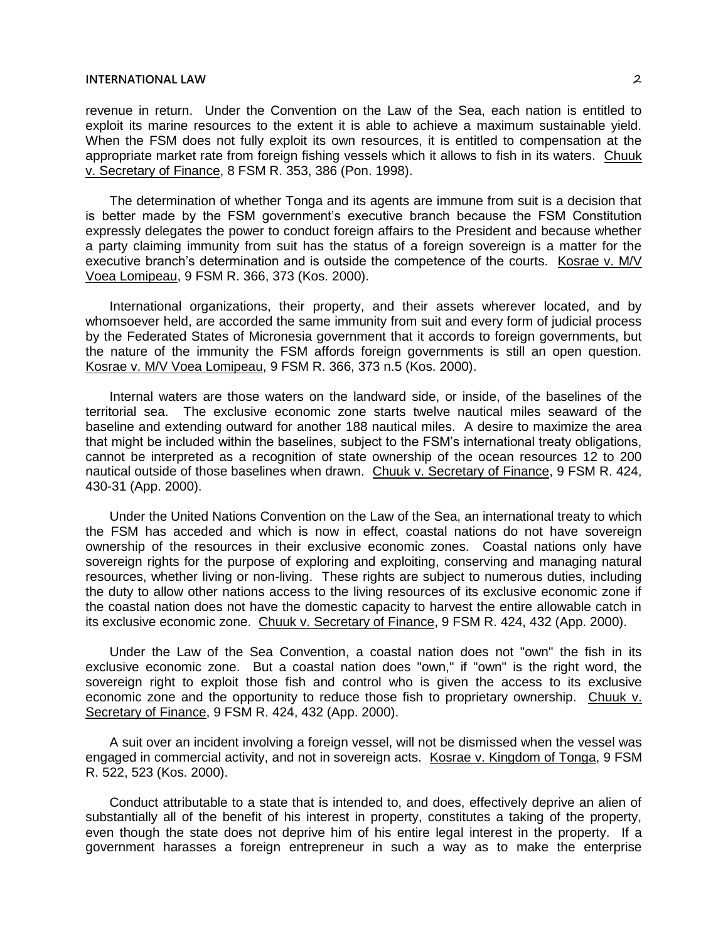revenue in return. Under the Convention on the Law of the Sea, each nation is entitled to exploit its marine resources to the extent it is able to achieve a maximum sustainable yield. When the FSM does not fully exploit its own resources, it is entitled to compensation at the appropriate market rate from foreign fishing vessels which it allows to fish in its waters. Chuuk v. Secretary of Finance, 8 FSM R. 353, 386 (Pon. 1998).

The determination of whether Tonga and its agents are immune from suit is a decision that is better made by the FSM government's executive branch because the FSM Constitution expressly delegates the power to conduct foreign affairs to the President and because whether a party claiming immunity from suit has the status of a foreign sovereign is a matter for the executive branch's determination and is outside the competence of the courts. Kosrae v. M/V Voea Lomipeau, 9 FSM R. 366, 373 (Kos. 2000).

International organizations, their property, and their assets wherever located, and by whomsoever held, are accorded the same immunity from suit and every form of judicial process by the Federated States of Micronesia government that it accords to foreign governments, but the nature of the immunity the FSM affords foreign governments is still an open question. Kosrae v. M/V Voea Lomipeau, 9 FSM R. 366, 373 n.5 (Kos. 2000).

Internal waters are those waters on the landward side, or inside, of the baselines of the territorial sea. The exclusive economic zone starts twelve nautical miles seaward of the baseline and extending outward for another 188 nautical miles. A desire to maximize the area that might be included within the baselines, subject to the FSM's international treaty obligations, cannot be interpreted as a recognition of state ownership of the ocean resources 12 to 200 nautical outside of those baselines when drawn. Chuuk v. Secretary of Finance, 9 FSM R. 424, 430-31 (App. 2000).

Under the United Nations Convention on the Law of the Sea, an international treaty to which the FSM has acceded and which is now in effect, coastal nations do not have sovereign ownership of the resources in their exclusive economic zones. Coastal nations only have sovereign rights for the purpose of exploring and exploiting, conserving and managing natural resources, whether living or non-living. These rights are subject to numerous duties, including the duty to allow other nations access to the living resources of its exclusive economic zone if the coastal nation does not have the domestic capacity to harvest the entire allowable catch in its exclusive economic zone. Chuuk v. Secretary of Finance, 9 FSM R. 424, 432 (App. 2000).

Under the Law of the Sea Convention, a coastal nation does not "own" the fish in its exclusive economic zone. But a coastal nation does "own," if "own" is the right word, the sovereign right to exploit those fish and control who is given the access to its exclusive economic zone and the opportunity to reduce those fish to proprietary ownership. Chuuk v. Secretary of Finance, 9 FSM R. 424, 432 (App. 2000).

A suit over an incident involving a foreign vessel, will not be dismissed when the vessel was engaged in commercial activity, and not in sovereign acts. Kosrae v. Kingdom of Tonga, 9 FSM R. 522, 523 (Kos. 2000).

Conduct attributable to a state that is intended to, and does, effectively deprive an alien of substantially all of the benefit of his interest in property, constitutes a taking of the property, even though the state does not deprive him of his entire legal interest in the property. If a government harasses a foreign entrepreneur in such a way as to make the enterprise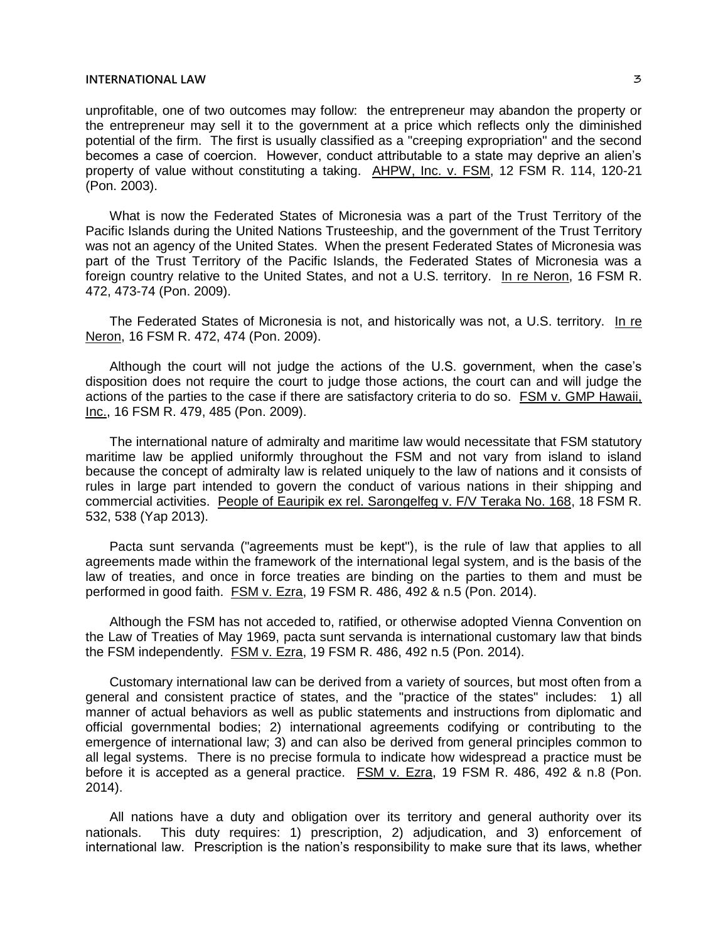unprofitable, one of two outcomes may follow: the entrepreneur may abandon the property or the entrepreneur may sell it to the government at a price which reflects only the diminished potential of the firm. The first is usually classified as a "creeping expropriation" and the second becomes a case of coercion. However, conduct attributable to a state may deprive an alien's property of value without constituting a taking. AHPW, Inc. v. FSM, 12 FSM R. 114, 120-21 (Pon. 2003).

What is now the Federated States of Micronesia was a part of the Trust Territory of the Pacific Islands during the United Nations Trusteeship, and the government of the Trust Territory was not an agency of the United States. When the present Federated States of Micronesia was part of the Trust Territory of the Pacific Islands, the Federated States of Micronesia was a foreign country relative to the United States, and not a U.S. territory. In re Neron, 16 FSM R. 472, 473-74 (Pon. 2009).

The Federated States of Micronesia is not, and historically was not, a U.S. territory. In re Neron, 16 FSM R. 472, 474 (Pon. 2009).

Although the court will not judge the actions of the U.S. government, when the case's disposition does not require the court to judge those actions, the court can and will judge the actions of the parties to the case if there are satisfactory criteria to do so. FSM v. GMP Hawaii, Inc., 16 FSM R. 479, 485 (Pon. 2009).

The international nature of admiralty and maritime law would necessitate that FSM statutory maritime law be applied uniformly throughout the FSM and not vary from island to island because the concept of admiralty law is related uniquely to the law of nations and it consists of rules in large part intended to govern the conduct of various nations in their shipping and commercial activities. People of Eauripik ex rel. Sarongelfeg v. F/V Teraka No. 168, 18 FSM R. 532, 538 (Yap 2013).

Pacta sunt servanda ("agreements must be kept"), is the rule of law that applies to all agreements made within the framework of the international legal system, and is the basis of the law of treaties, and once in force treaties are binding on the parties to them and must be performed in good faith. FSM v. Ezra, 19 FSM R. 486, 492 & n.5 (Pon. 2014).

Although the FSM has not acceded to, ratified, or otherwise adopted Vienna Convention on the Law of Treaties of May 1969, pacta sunt servanda is international customary law that binds the FSM independently. FSM v. Ezra, 19 FSM R. 486, 492 n.5 (Pon. 2014).

Customary international law can be derived from a variety of sources, but most often from a general and consistent practice of states, and the "practice of the states" includes: 1) all manner of actual behaviors as well as public statements and instructions from diplomatic and official governmental bodies; 2) international agreements codifying or contributing to the emergence of international law; 3) and can also be derived from general principles common to all legal systems. There is no precise formula to indicate how widespread a practice must be before it is accepted as a general practice. FSM v. Ezra, 19 FSM R. 486, 492 & n.8 (Pon. 2014).

All nations have a duty and obligation over its territory and general authority over its nationals. This duty requires: 1) prescription, 2) adjudication, and 3) enforcement of international law. Prescription is the nation's responsibility to make sure that its laws, whether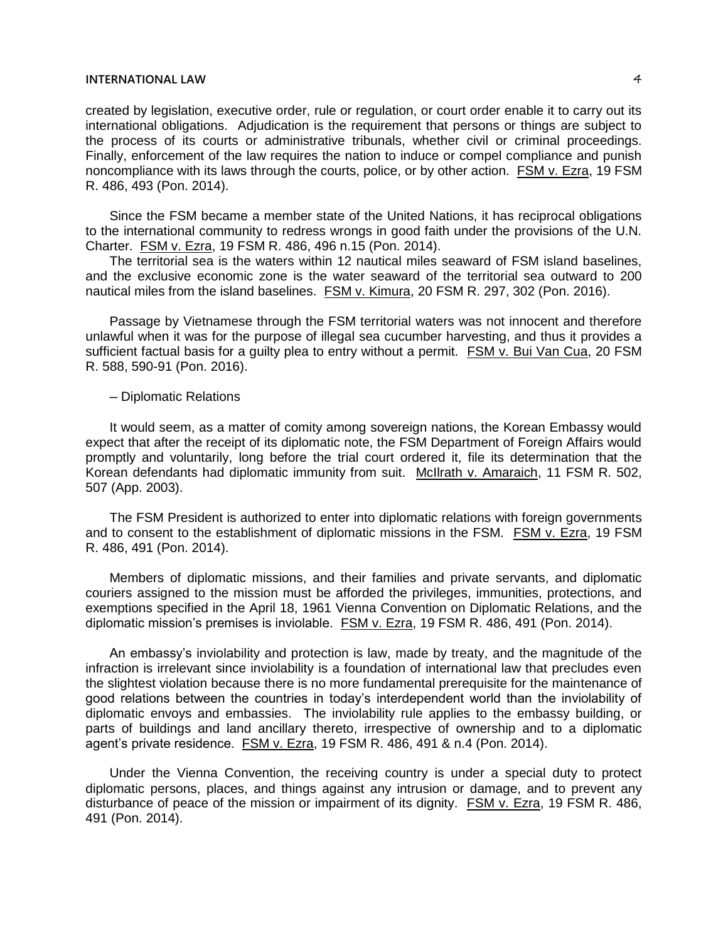created by legislation, executive order, rule or regulation, or court order enable it to carry out its international obligations. Adjudication is the requirement that persons or things are subject to the process of its courts or administrative tribunals, whether civil or criminal proceedings. Finally, enforcement of the law requires the nation to induce or compel compliance and punish noncompliance with its laws through the courts, police, or by other action. FSM v. Ezra, 19 FSM R. 486, 493 (Pon. 2014).

Since the FSM became a member state of the United Nations, it has reciprocal obligations to the international community to redress wrongs in good faith under the provisions of the U.N. Charter. FSM v. Ezra, 19 FSM R. 486, 496 n.15 (Pon. 2014).

The territorial sea is the waters within 12 nautical miles seaward of FSM island baselines, and the exclusive economic zone is the water seaward of the territorial sea outward to 200 nautical miles from the island baselines. FSM v. Kimura, 20 FSM R. 297, 302 (Pon. 2016).

Passage by Vietnamese through the FSM territorial waters was not innocent and therefore unlawful when it was for the purpose of illegal sea cucumber harvesting, and thus it provides a sufficient factual basis for a guilty plea to entry without a permit. FSM v. Bui Van Cua, 20 FSM R. 588, 590-91 (Pon. 2016).

### ─ Diplomatic Relations

It would seem, as a matter of comity among sovereign nations, the Korean Embassy would expect that after the receipt of its diplomatic note, the FSM Department of Foreign Affairs would promptly and voluntarily, long before the trial court ordered it, file its determination that the Korean defendants had diplomatic immunity from suit. McIlrath v. Amaraich, 11 FSM R. 502, 507 (App. 2003).

The FSM President is authorized to enter into diplomatic relations with foreign governments and to consent to the establishment of diplomatic missions in the FSM. FSM v. Ezra, 19 FSM R. 486, 491 (Pon. 2014).

Members of diplomatic missions, and their families and private servants, and diplomatic couriers assigned to the mission must be afforded the privileges, immunities, protections, and exemptions specified in the April 18, 1961 Vienna Convention on Diplomatic Relations, and the diplomatic mission's premises is inviolable. FSM v. Ezra, 19 FSM R. 486, 491 (Pon. 2014).

An embassy's inviolability and protection is law, made by treaty, and the magnitude of the infraction is irrelevant since inviolability is a foundation of international law that precludes even the slightest violation because there is no more fundamental prerequisite for the maintenance of good relations between the countries in today's interdependent world than the inviolability of diplomatic envoys and embassies. The inviolability rule applies to the embassy building, or parts of buildings and land ancillary thereto, irrespective of ownership and to a diplomatic agent's private residence. FSM v. Ezra, 19 FSM R. 486, 491 & n.4 (Pon. 2014).

Under the Vienna Convention, the receiving country is under a special duty to protect diplomatic persons, places, and things against any intrusion or damage, and to prevent any disturbance of peace of the mission or impairment of its dignity. FSM v. Ezra, 19 FSM R. 486, 491 (Pon. 2014).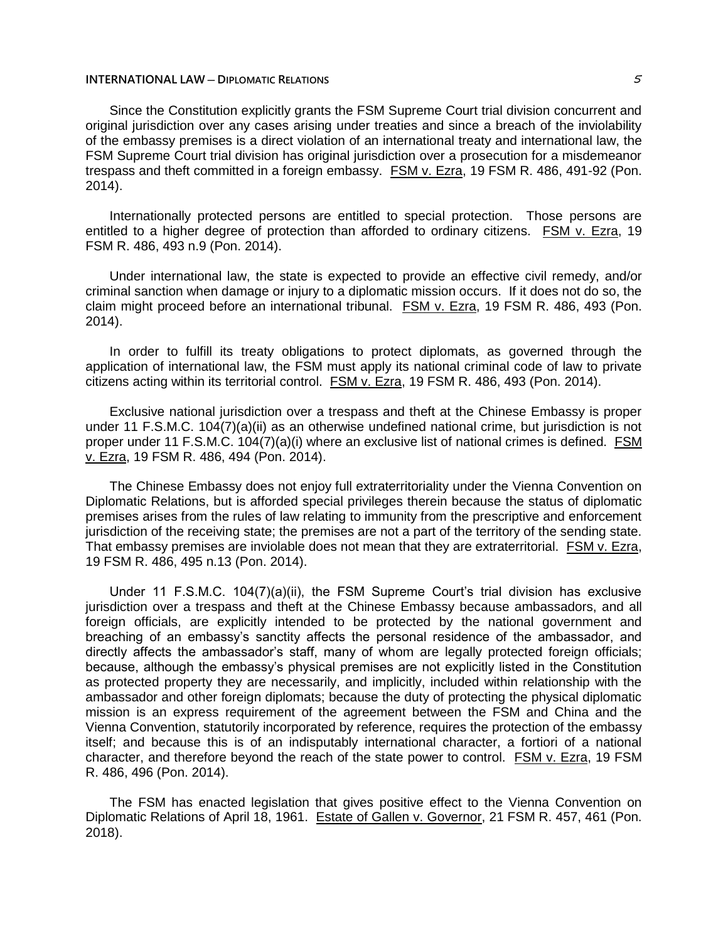#### **INTERNATIONAL LAW ─ DIPLOMATIC RELATIONS** 5

Since the Constitution explicitly grants the FSM Supreme Court trial division concurrent and original jurisdiction over any cases arising under treaties and since a breach of the inviolability of the embassy premises is a direct violation of an international treaty and international law, the FSM Supreme Court trial division has original jurisdiction over a prosecution for a misdemeanor trespass and theft committed in a foreign embassy. FSM v. Ezra, 19 FSM R. 486, 491-92 (Pon. 2014).

Internationally protected persons are entitled to special protection. Those persons are entitled to a higher degree of protection than afforded to ordinary citizens. FSM v. Ezra, 19 FSM R. 486, 493 n.9 (Pon. 2014).

Under international law, the state is expected to provide an effective civil remedy, and/or criminal sanction when damage or injury to a diplomatic mission occurs. If it does not do so, the claim might proceed before an international tribunal. FSM v. Ezra, 19 FSM R. 486, 493 (Pon. 2014).

In order to fulfill its treaty obligations to protect diplomats, as governed through the application of international law, the FSM must apply its national criminal code of law to private citizens acting within its territorial control. FSM v. Ezra, 19 FSM R. 486, 493 (Pon. 2014).

Exclusive national jurisdiction over a trespass and theft at the Chinese Embassy is proper under 11 F.S.M.C. 104(7)(a)(ii) as an otherwise undefined national crime, but jurisdiction is not proper under 11 F.S.M.C. 104(7)(a)(i) where an exclusive list of national crimes is defined. FSM v. Ezra, 19 FSM R. 486, 494 (Pon. 2014).

The Chinese Embassy does not enjoy full extraterritoriality under the Vienna Convention on Diplomatic Relations, but is afforded special privileges therein because the status of diplomatic premises arises from the rules of law relating to immunity from the prescriptive and enforcement jurisdiction of the receiving state; the premises are not a part of the territory of the sending state. That embassy premises are inviolable does not mean that they are extraterritorial. FSM v. Ezra, 19 FSM R. 486, 495 n.13 (Pon. 2014).

Under 11 F.S.M.C. 104(7)(a)(ii), the FSM Supreme Court's trial division has exclusive jurisdiction over a trespass and theft at the Chinese Embassy because ambassadors, and all foreign officials, are explicitly intended to be protected by the national government and breaching of an embassy's sanctity affects the personal residence of the ambassador, and directly affects the ambassador's staff, many of whom are legally protected foreign officials; because, although the embassy's physical premises are not explicitly listed in the Constitution as protected property they are necessarily, and implicitly, included within relationship with the ambassador and other foreign diplomats; because the duty of protecting the physical diplomatic mission is an express requirement of the agreement between the FSM and China and the Vienna Convention, statutorily incorporated by reference, requires the protection of the embassy itself; and because this is of an indisputably international character, a fortiori of a national character, and therefore beyond the reach of the state power to control. FSM v. Ezra, 19 FSM R. 486, 496 (Pon. 2014).

The FSM has enacted legislation that gives positive effect to the Vienna Convention on Diplomatic Relations of April 18, 1961. Estate of Gallen v. Governor, 21 FSM R. 457, 461 (Pon. 2018).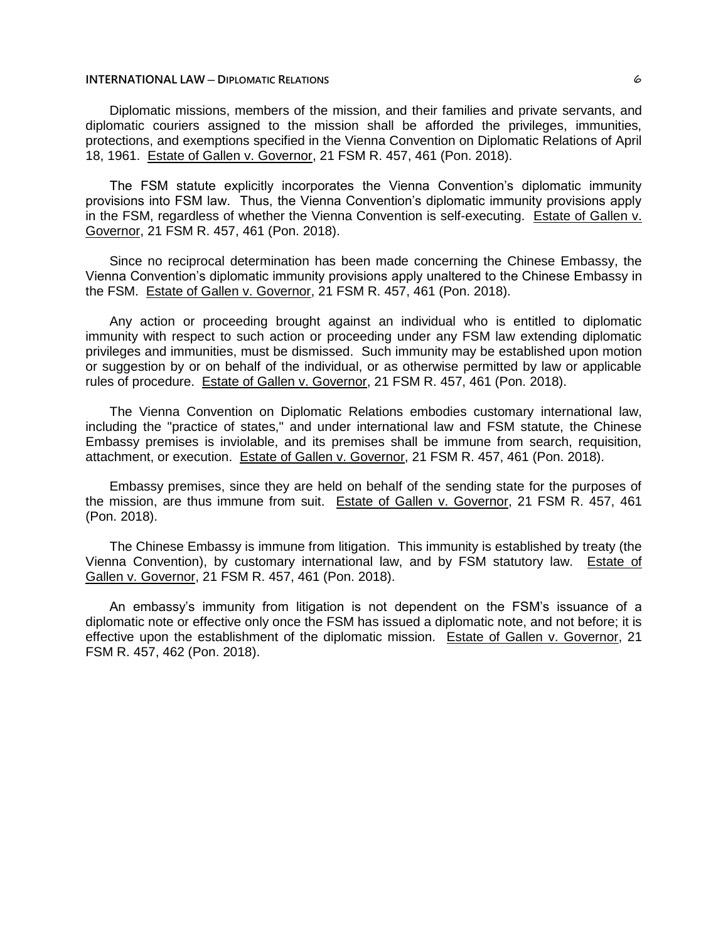#### **INTERNATIONAL LAW ─ DIPLOMATIC RELATIONS** 6

Diplomatic missions, members of the mission, and their families and private servants, and diplomatic couriers assigned to the mission shall be afforded the privileges, immunities, protections, and exemptions specified in the Vienna Convention on Diplomatic Relations of April 18, 1961. Estate of Gallen v. Governor, 21 FSM R. 457, 461 (Pon. 2018).

The FSM statute explicitly incorporates the Vienna Convention's diplomatic immunity provisions into FSM law. Thus, the Vienna Convention's diplomatic immunity provisions apply in the FSM, regardless of whether the Vienna Convention is self-executing. Estate of Gallen v. Governor, 21 FSM R. 457, 461 (Pon. 2018).

Since no reciprocal determination has been made concerning the Chinese Embassy, the Vienna Convention's diplomatic immunity provisions apply unaltered to the Chinese Embassy in the FSM. Estate of Gallen v. Governor, 21 FSM R. 457, 461 (Pon. 2018).

Any action or proceeding brought against an individual who is entitled to diplomatic immunity with respect to such action or proceeding under any FSM law extending diplomatic privileges and immunities, must be dismissed. Such immunity may be established upon motion or suggestion by or on behalf of the individual, or as otherwise permitted by law or applicable rules of procedure. Estate of Gallen v. Governor, 21 FSM R. 457, 461 (Pon. 2018).

The Vienna Convention on Diplomatic Relations embodies customary international law, including the "practice of states," and under international law and FSM statute, the Chinese Embassy premises is inviolable, and its premises shall be immune from search, requisition, attachment, or execution. Estate of Gallen v. Governor, 21 FSM R. 457, 461 (Pon. 2018).

Embassy premises, since they are held on behalf of the sending state for the purposes of the mission, are thus immune from suit. Estate of Gallen v. Governor, 21 FSM R. 457, 461 (Pon. 2018).

The Chinese Embassy is immune from litigation. This immunity is established by treaty (the Vienna Convention), by customary international law, and by FSM statutory law. Estate of Gallen v. Governor, 21 FSM R. 457, 461 (Pon. 2018).

An embassy's immunity from litigation is not dependent on the FSM's issuance of a diplomatic note or effective only once the FSM has issued a diplomatic note, and not before; it is effective upon the establishment of the diplomatic mission. Estate of Gallen v. Governor, 21 FSM R. 457, 462 (Pon. 2018).